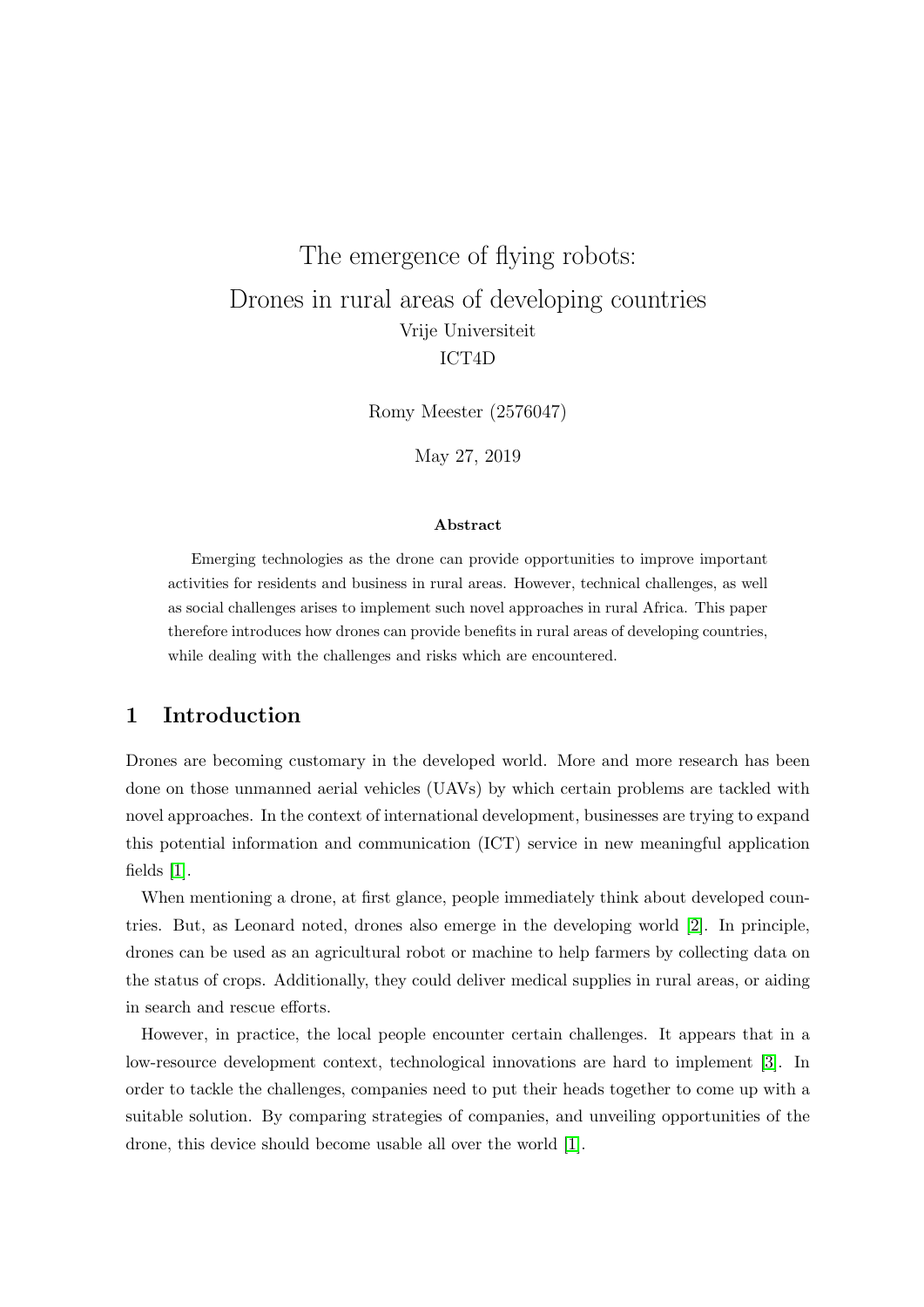# The emergence of flying robots: Drones in rural areas of developing countries Vrije Universiteit ICT4D

Romy Meester (2576047)

May 27, 2019

#### Abstract

Emerging technologies as the drone can provide opportunities to improve important activities for residents and business in rural areas. However, technical challenges, as well as social challenges arises to implement such novel approaches in rural Africa. This paper therefore introduces how drones can provide benefits in rural areas of developing countries, while dealing with the challenges and risks which are encountered.

## 1 Introduction

Drones are becoming customary in the developed world. More and more research has been done on those unmanned aerial vehicles (UAVs) by which certain problems are tackled with novel approaches. In the context of international development, businesses are trying to expand this potential information and communication (ICT) service in new meaningful application fields [\[1\]](#page-2-0).

When mentioning a drone, at first glance, people immediately think about developed countries. But, as Leonard noted, drones also emerge in the developing world [\[2\]](#page-2-1). In principle, drones can be used as an agricultural robot or machine to help farmers by collecting data on the status of crops. Additionally, they could deliver medical supplies in rural areas, or aiding in search and rescue efforts.

However, in practice, the local people encounter certain challenges. It appears that in a low-resource development context, technological innovations are hard to implement [\[3\]](#page-2-2). In order to tackle the challenges, companies need to put their heads together to come up with a suitable solution. By comparing strategies of companies, and unveiling opportunities of the drone, this device should become usable all over the world [\[1\]](#page-2-0).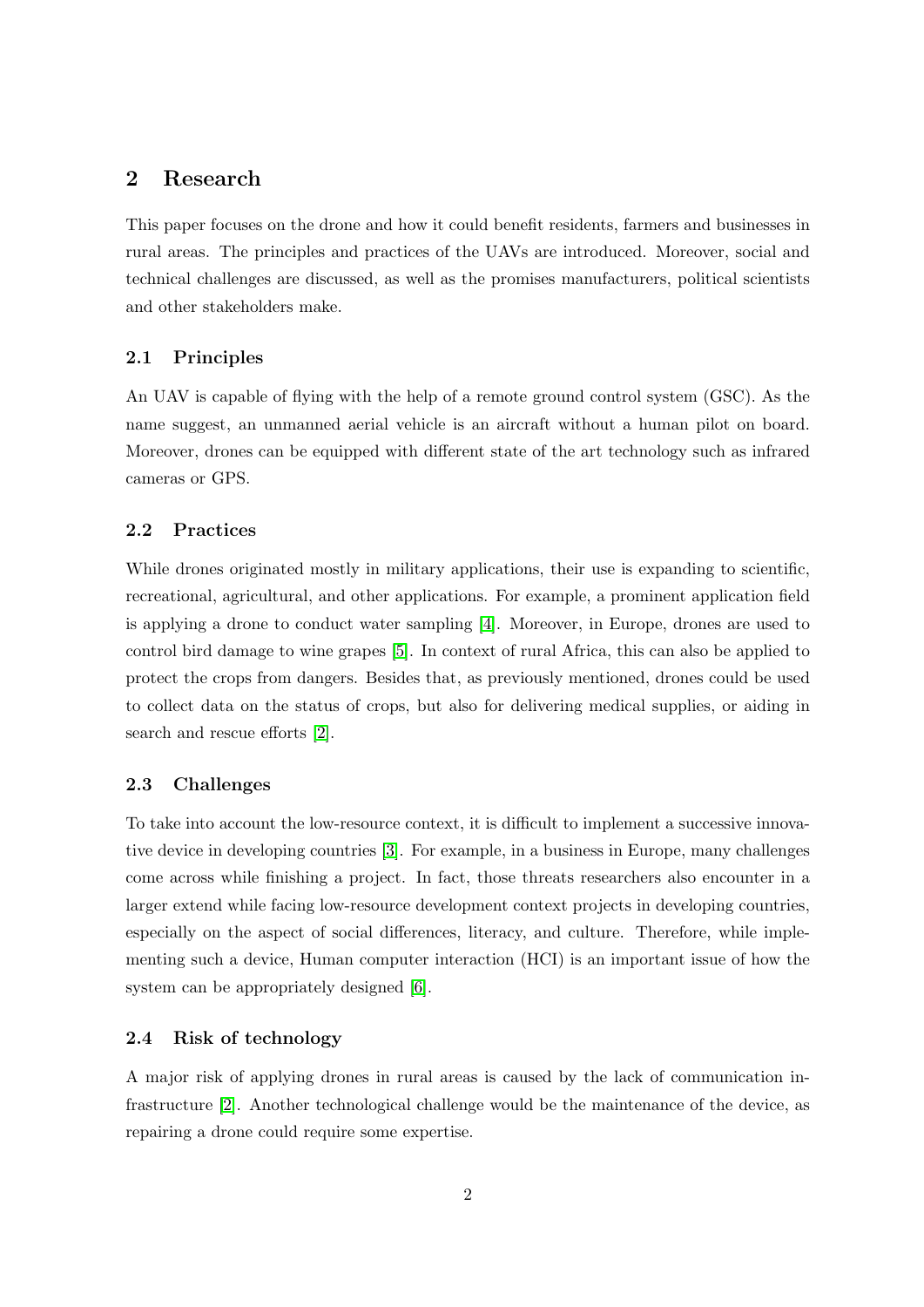## 2 Research

This paper focuses on the drone and how it could benefit residents, farmers and businesses in rural areas. The principles and practices of the UAVs are introduced. Moreover, social and technical challenges are discussed, as well as the promises manufacturers, political scientists and other stakeholders make.

#### 2.1 Principles

An UAV is capable of flying with the help of a remote ground control system (GSC). As the name suggest, an unmanned aerial vehicle is an aircraft without a human pilot on board. Moreover, drones can be equipped with different state of the art technology such as infrared cameras or GPS.

#### 2.2 Practices

While drones originated mostly in military applications, their use is expanding to scientific, recreational, agricultural, and other applications. For example, a prominent application field is applying a drone to conduct water sampling [\[4\]](#page-2-3). Moreover, in Europe, drones are used to control bird damage to wine grapes [\[5\]](#page-2-4). In context of rural Africa, this can also be applied to protect the crops from dangers. Besides that, as previously mentioned, drones could be used to collect data on the status of crops, but also for delivering medical supplies, or aiding in search and rescue efforts [\[2\]](#page-2-1).

#### 2.3 Challenges

To take into account the low-resource context, it is difficult to implement a successive innovative device in developing countries [\[3\]](#page-2-2). For example, in a business in Europe, many challenges come across while finishing a project. In fact, those threats researchers also encounter in a larger extend while facing low-resource development context projects in developing countries, especially on the aspect of social differences, literacy, and culture. Therefore, while implementing such a device, Human computer interaction (HCI) is an important issue of how the system can be appropriately designed [\[6\]](#page-2-5).

#### 2.4 Risk of technology

A major risk of applying drones in rural areas is caused by the lack of communication infrastructure [\[2\]](#page-2-1). Another technological challenge would be the maintenance of the device, as repairing a drone could require some expertise.